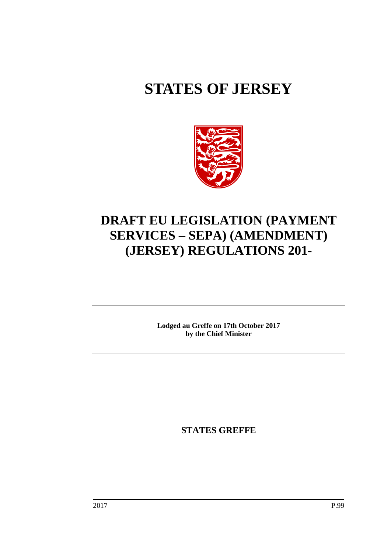# **STATES OF JERSEY**



## **DRAFT EU LEGISLATION (PAYMENT SERVICES – SEPA) (AMENDMENT) (JERSEY) REGULATIONS 201-**

**Lodged au Greffe on 17th October 2017 by the Chief Minister**

**STATES GREFFE**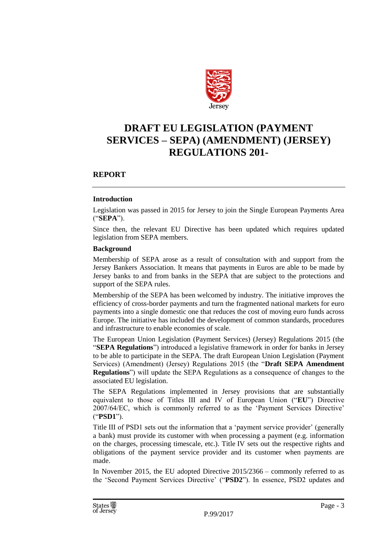

### **DRAFT EU LEGISLATION (PAYMENT SERVICES – SEPA) (AMENDMENT) (JERSEY) REGULATIONS 201-**

#### **REPORT**

#### **Introduction**

Legislation was passed in 2015 for Jersey to join the Single European Payments Area ("**SEPA**").

Since then, the relevant EU Directive has been updated which requires updated legislation from SEPA members.

#### **Background**

Membership of SEPA arose as a result of consultation with and support from the Jersey Bankers Association. It means that payments in Euros are able to be made by Jersey banks to and from banks in the SEPA that are subject to the protections and support of the SEPA rules.

Membership of the SEPA has been welcomed by industry. The initiative improves the efficiency of cross-border payments and turn the fragmented national markets for euro payments into a single domestic one that reduces the cost of moving euro funds across Europe. The initiative has included the development of common standards, procedures and infrastructure to enable economies of scale.

The European Union Legislation (Payment Services) (Jersey) Regulations 2015 (the "**SEPA Regulations**") introduced a legislative framework in order for banks in Jersey to be able to participate in the SEPA. The draft European Union Legislation (Payment Services) (Amendment) (Jersey) Regulations 2015 (the "**Draft SEPA Amendment Regulations**") will update the SEPA Regulations as a consequence of changes to the associated EU legislation.

The SEPA Regulations implemented in Jersey provisions that are substantially equivalent to those of Titles III and IV of European Union ("**EU**") Directive 2007/64/EC, which is commonly referred to as the 'Payment Services Directive' ("**PSD1**").

Title III of PSD1 sets out the information that a 'payment service provider' (generally a bank) must provide its customer with when processing a payment (e.g. information on the charges, processing timescale, etc.). Title IV sets out the respective rights and obligations of the payment service provider and its customer when payments are made.

In November 2015, the EU adopted Directive 2015/2366 – commonly referred to as the 'Second Payment Services Directive' ("**PSD2**"). In essence, PSD2 updates and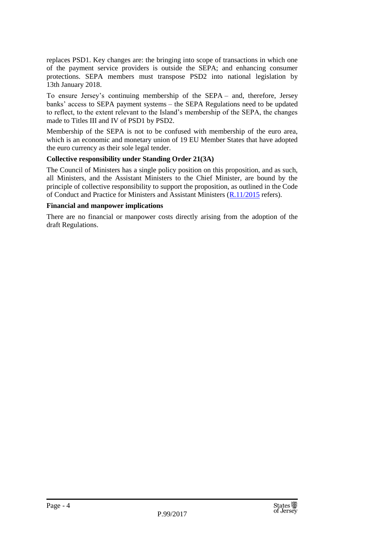replaces PSD1. Key changes are: the bringing into scope of transactions in which one of the payment service providers is outside the SEPA; and enhancing consumer protections. SEPA members must transpose PSD2 into national legislation by 13th January 2018.

To ensure Jersey's continuing membership of the SEPA – and, therefore, Jersey banks' access to SEPA payment systems – the SEPA Regulations need to be updated to reflect, to the extent relevant to the Island's membership of the SEPA, the changes made to Titles III and IV of PSD1 by PSD2.

Membership of the SEPA is not to be confused with membership of the euro area, which is an economic and monetary union of 19 EU Member States that have adopted the euro currency as their sole legal tender.

#### **Collective responsibility under Standing Order 21(3A)**

The Council of Ministers has a single policy position on this proposition, and as such, all Ministers, and the Assistant Ministers to the Chief Minister, are bound by the principle of collective responsibility to support the proposition, as outlined in the Code of Conduct and Practice for Ministers and Assistant Ministers [\(R.11/2015](http://www.statesassembly.gov.je/assemblyreports/2015/r.11-2015.pdf) refers).

#### **Financial and manpower implications**

There are no financial or manpower costs directly arising from the adoption of the draft Regulations.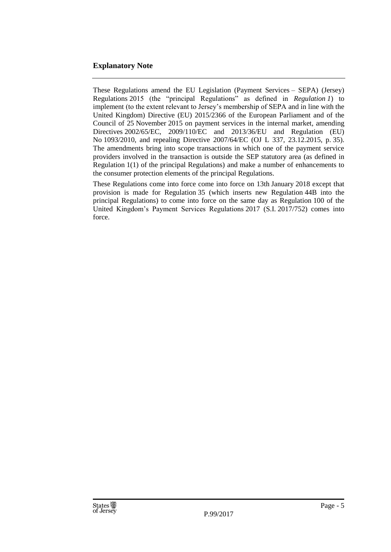#### **Explanatory Note**

These Regulations amend the EU Legislation (Payment Services – SEPA) (Jersey) Regulations 2015 (the "principal Regulations" as defined in *Regulation 1*) to implement (to the extent relevant to Jersey's membership of SEPA and in line with the United Kingdom) Directive (EU) 2015/2366 of the European Parliament and of the Council of 25 November 2015 on payment services in the internal market, amending Directives 2002/65/EC, 2009/110/EC and 2013/36/EU and Regulation (EU) No 1093/2010, and repealing Directive 2007/64/EC (OJ L 337, 23.12.2015, p. 35). The amendments bring into scope transactions in which one of the payment service providers involved in the transaction is outside the SEP statutory area (as defined in Regulation 1(1) of the principal Regulations) and make a number of enhancements to the consumer protection elements of the principal Regulations.

These Regulations come into force come into force on 13th January 2018 except that provision is made for Regulation 35 (which inserts new Regulation 44B into the principal Regulations) to come into force on the same day as Regulation 100 of the United Kingdom's Payment Services Regulations 2017 (S.I. 2017/752) comes into force.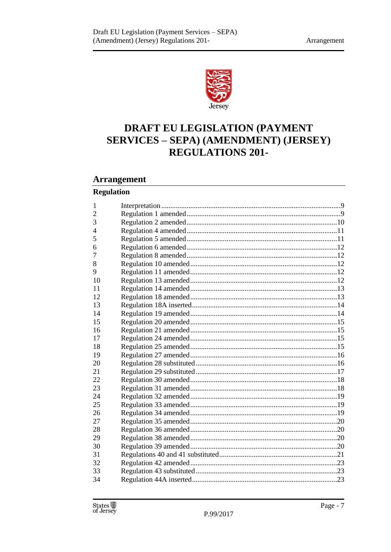

## DRAFT EU LEGISLATION (PAYMENT **SERVICES - SEPA) (AMENDMENT) (JERSEY) REGULATIONS 201-**

#### **Arrangement**

#### **Regulation**

| 1  |  |
|----|--|
| 2  |  |
| 3  |  |
| 4  |  |
| 5  |  |
| 6  |  |
| 7  |  |
| 8  |  |
| 9  |  |
| 10 |  |
| 11 |  |
| 12 |  |
| 13 |  |
| 14 |  |
| 15 |  |
| 16 |  |
| 17 |  |
| 18 |  |
| 19 |  |
| 20 |  |
| 21 |  |
| 22 |  |
| 23 |  |
| 24 |  |
| 25 |  |
| 26 |  |
| 27 |  |
| 28 |  |
| 29 |  |
| 30 |  |
| 31 |  |
| 32 |  |
| 33 |  |
| 34 |  |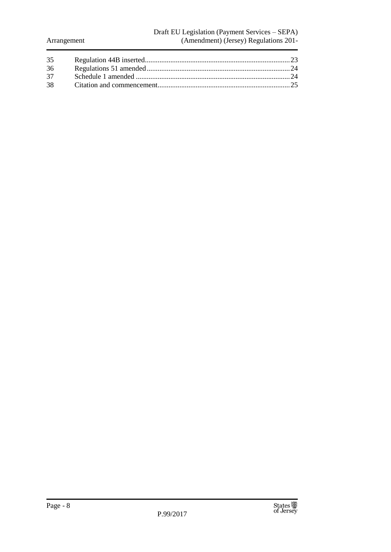#### Draft EU Legislation (Payment Services – SEPA) (Amendment) (Jersey) Regulations 201-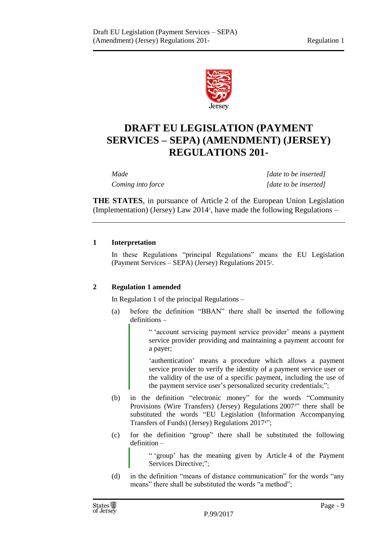

## **DRAFT EU LEGISLATION (PAYMENT SERVICES – SEPA) (AMENDMENT) (JERSEY) REGULATIONS 201-**

*Made [date to be inserted] Coming into force [date to be inserted]*

**THE STATES**, in pursuance of Article 2 of the European Union Legislation (Implementation) (Jersey) Law 2014<sup>1</sup> , have made the following Regulations –

#### <span id="page-8-0"></span>**1 Interpretation**

In these Regulations "principal Regulations" means the EU Legislation (Payment Services – SEPA) (Jersey) Regulations 2015<sup>2</sup> .

#### <span id="page-8-1"></span>**2 Regulation 1 amended**

In Regulation 1 of the principal Regulations –

(a) before the definition "BBAN" there shall be inserted the following definitions –

> " 'account servicing payment service provider' means a payment service provider providing and maintaining a payment account for a payer;

> 'authentication' means a procedure which allows a payment service provider to verify the identity of a payment service user or the validity of the use of a specific payment, including the use of the payment service user's personalized security credentials;";

- (b) in the definition "electronic money" for the words "Community Provisions (Wire Transfers) (Jersey) Regulations 2007 <sup>3</sup>" there shall be substituted the words "EU Legislation (Information Accompanying Transfers of Funds) (Jersey) Regulations 20174";
- (c) for the definition "group" there shall be substituted the following definition –

" 'group' has the meaning given by Article 4 of the Payment Services Directive;";

(d) in the definition "means of distance communication" for the words "any means" there shall be substituted the words "a method";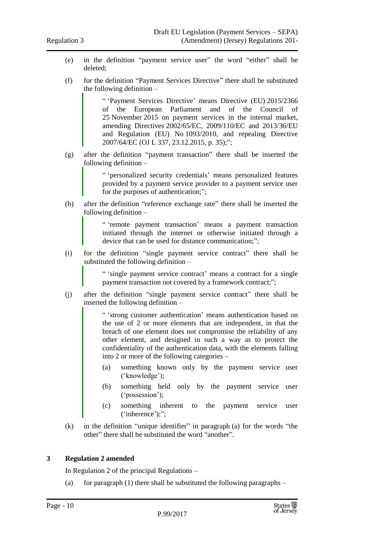- (e) in the definition "payment service user" the word "either" shall be deleted;
- (f) for the definition "Payment Services Directive" there shall be substituted the following definition –

" 'Payment Services Directive' means Directive (EU) 2015/2366 of the European Parliament and of the Council of 25 November 2015 on payment services in the internal market, amending Directives 2002/65/EC, 2009/110/EC and 2013/36/EU and Regulation (EU) No 1093/2010, and repealing Directive 2007/64/EC (OJ L 337, 23.12.2015, p. 35);";

(g) after the definition "payment transaction" there shall be inserted the following definition –

> " 'personalized security credentials' means personalized features provided by a payment service provider to a payment service user for the purposes of authentication;";

(h) after the definition "reference exchange rate" there shall be inserted the following definition –

> " 'remote payment transaction' means a payment transaction initiated through the internet or otherwise initiated through a device that can be used for distance communication;";

(i) for the definition "single payment service contract" there shall be substituted the following definition –

> " 'single payment service contract' means a contract for a single payment transaction not covered by a framework contract;";

(j) after the definition "single payment service contract" there shall be inserted the following definition –

> " 'strong customer authentication' means authentication based on the use of 2 or more elements that are independent, in that the breach of one element does not compromise the reliability of any other element, and designed in such a way as to protect the confidentiality of the authentication data, with the elements falling into 2 or more of the following categories –

- (a) something known only by the payment service user ('knowledge');
- (b) something held only by the payment service user ('possession');
- (c) something inherent to the payment service user ('inherence');";
- (k) in the definition "unique identifier" in paragraph (a) for the words "the other" there shall be substituted the word "another".

#### <span id="page-9-0"></span>**3 Regulation 2 amended**

In Regulation 2 of the principal Regulations –

(a) for paragraph (1) there shall be substituted the following paragraphs –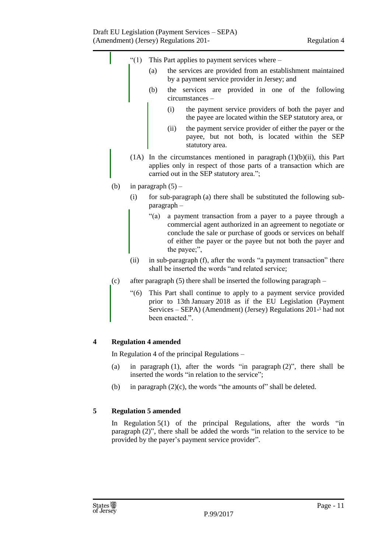

- <span id="page-10-0"></span>(a) in paragraph (1), after the words "in paragraph (2)", there shall be inserted the words "in relation to the service";
- (b) in paragraph (2)(c), the words "the amounts of" shall be deleted.

#### <span id="page-10-1"></span>**5 Regulation 5 amended**

In Regulation 5(1) of the principal Regulations, after the words "in paragraph (2)", there shall be added the words "in relation to the service to be provided by the payer's payment service provider".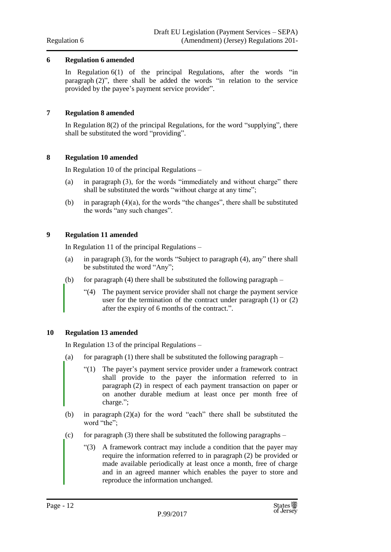#### <span id="page-11-0"></span>**6 Regulation 6 amended**

In Regulation 6(1) of the principal Regulations, after the words "in paragraph (2)", there shall be added the words "in relation to the service provided by the payee's payment service provider".

#### <span id="page-11-1"></span>**7 Regulation 8 amended**

In Regulation 8(2) of the principal Regulations, for the word "supplying", there shall be substituted the word "providing".

#### <span id="page-11-2"></span>**8 Regulation 10 amended**

In Regulation 10 of the principal Regulations –

- (a) in paragraph (3), for the words "immediately and without charge" there shall be substituted the words "without charge at any time";
- (b) in paragraph  $(4)(a)$ , for the words "the changes", there shall be substituted the words "any such changes".

#### <span id="page-11-3"></span>**9 Regulation 11 amended**

In Regulation 11 of the principal Regulations –

- (a) in paragraph (3), for the words "Subject to paragraph (4), any" there shall be substituted the word "Any";
- (b) for paragraph (4) there shall be substituted the following paragraph
	- "(4) The payment service provider shall not charge the payment service user for the termination of the contract under paragraph (1) or (2) after the expiry of 6 months of the contract.".

#### <span id="page-11-4"></span>**10 Regulation 13 amended**

In Regulation 13 of the principal Regulations –

- (a) for paragraph (1) there shall be substituted the following paragraph  $-$ 
	- "(1) The payer's payment service provider under a framework contract shall provide to the payer the information referred to in paragraph (2) in respect of each payment transaction on paper or on another durable medium at least once per month free of charge.";
- (b) in paragraph (2)(a) for the word "each" there shall be substituted the word "the";
- (c) for paragraph (3) there shall be substituted the following paragraphs
	- "(3) A framework contract may include a condition that the payer may require the information referred to in paragraph (2) be provided or made available periodically at least once a month, free of charge and in an agreed manner which enables the payer to store and reproduce the information unchanged.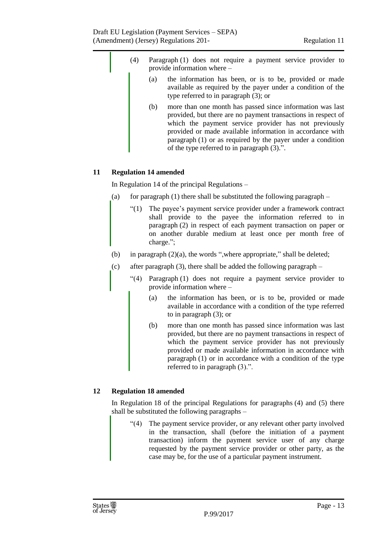- (4) Paragraph (1) does not require a payment service provider to provide information where –
	- (a) the information has been, or is to be, provided or made available as required by the payer under a condition of the type referred to in paragraph (3); or
	- (b) more than one month has passed since information was last provided, but there are no payment transactions in respect of which the payment service provider has not previously provided or made available information in accordance with paragraph (1) or as required by the payer under a condition of the type referred to in paragraph (3).".

#### <span id="page-12-0"></span>**11 Regulation 14 amended**

In Regulation 14 of the principal Regulations –

- (a) for paragraph  $(1)$  there shall be substituted the following paragraph
	- "(1) The payee's payment service provider under a framework contract shall provide to the payee the information referred to in paragraph (2) in respect of each payment transaction on paper or on another durable medium at least once per month free of charge.";
- (b) in paragraph  $(2)(a)$ , the words ", where appropriate," shall be deleted;
- (c) after paragraph (3), there shall be added the following paragraph
	- "(4) Paragraph (1) does not require a payment service provider to provide information where –
		- (a) the information has been, or is to be, provided or made available in accordance with a condition of the type referred to in paragraph (3); or
		- (b) more than one month has passed since information was last provided, but there are no payment transactions in respect of which the payment service provider has not previously provided or made available information in accordance with paragraph (1) or in accordance with a condition of the type referred to in paragraph (3).".

#### <span id="page-12-1"></span>**12 Regulation 18 amended**

In Regulation 18 of the principal Regulations for paragraphs (4) and (5) there shall be substituted the following paragraphs –

"(4) The payment service provider, or any relevant other party involved in the transaction, shall (before the initiation of a payment transaction) inform the payment service user of any charge requested by the payment service provider or other party, as the case may be, for the use of a particular payment instrument.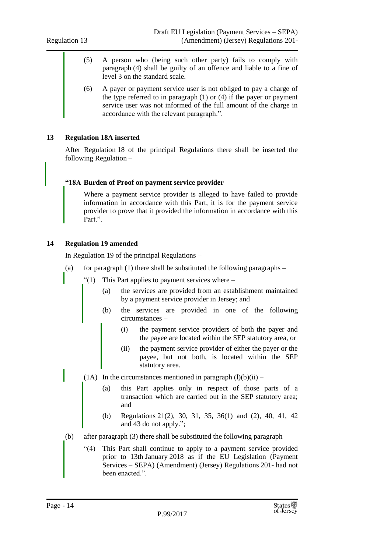- (5) A person who (being such other party) fails to comply with paragraph (4) shall be guilty of an offence and liable to a fine of level 3 on the standard scale.
- (6) A payer or payment service user is not obliged to pay a charge of the type referred to in paragraph (1) or (4) if the payer or payment service user was not informed of the full amount of the charge in accordance with the relevant paragraph.".

#### <span id="page-13-0"></span>**13 Regulation 18A inserted**

After Regulation 18 of the principal Regulations there shall be inserted the following Regulation –

#### **"18A Burden of Proof on payment service provider**

Where a payment service provider is alleged to have failed to provide information in accordance with this Part, it is for the payment service provider to prove that it provided the information in accordance with this Part.".

#### <span id="page-13-1"></span>**14 Regulation 19 amended**

In Regulation 19 of the principal Regulations –

- (a) for paragraph  $(1)$  there shall be substituted the following paragraphs
	- " $(1)$  This Part applies to payment services where
		- (a) the services are provided from an establishment maintained by a payment service provider in Jersey; and
		- (b) the services are provided in one of the following circumstances –
			- (i) the payment service providers of both the payer and the payee are located within the SEP statutory area, or
			- (ii) the payment service provider of either the payer or the payee, but not both, is located within the SEP statutory area.
		- (1A) In the circumstances mentioned in paragraph  $(l)(b)(ii)$ 
			- (a) this Part applies only in respect of those parts of a transaction which are carried out in the SEP statutory area; and
			- (b) Regulations 21(2), 30, 31, 35, 36(1) and (2), 40, 41, 42 and 43 do not apply.";
- (b) after paragraph (3) there shall be substituted the following paragraph
	- "(4) This Part shall continue to apply to a payment service provided prior to 13th January 2018 as if the EU Legislation (Payment Services – SEPA) (Amendment) (Jersey) Regulations 201- had not been enacted.".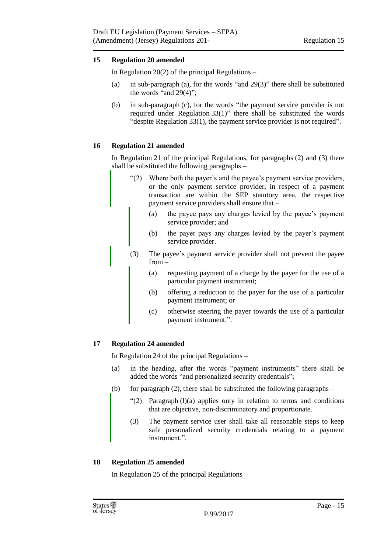#### <span id="page-14-0"></span>**15 Regulation 20 amended**

In Regulation 20(2) of the principal Regulations  $-$ 

- (a) in sub-paragraph (a), for the words "and 29(3)" there shall be substituted the words "and 29(4)";
- (b) in sub-paragraph (c), for the words "the payment service provider is not required under Regulation 33(1)" there shall be substituted the words "despite Regulation 33(1), the payment service provider is not required".

#### <span id="page-14-1"></span>**16 Regulation 21 amended**

In Regulation 21 of the principal Regulations, for paragraphs (2) and (3) there shall be substituted the following paragraphs –

- "(2) Where both the payer's and the payee's payment service providers, or the only payment service provider, in respect of a payment transaction are within the SEP statutory area, the respective payment service providers shall ensure that –
	- (a) the payee pays any charges levied by the payee's payment service provider; and
	- (b) the payer pays any charges levied by the payer's payment service provider.
- (3) The payee's payment service provider shall not prevent the payee from –
	- (a) requesting payment of a charge by the payer for the use of a particular payment instrument;
	- (b) offering a reduction to the payer for the use of a particular payment instrument; or
	- (c) otherwise steering the payer towards the use of a particular payment instrument.".

#### <span id="page-14-2"></span>**17 Regulation 24 amended**

In Regulation 24 of the principal Regulations –

- (a) in the heading, after the words "payment instruments" there shall be added the words "and personalized security credentials";
- (b) for paragraph  $(2)$ , there shall be substituted the following paragraphs
	- " $(2)$  Paragraph  $(l)(a)$  applies only in relation to terms and conditions that are objective, non-discriminatory and proportionate.
	- (3) The payment service user shall take all reasonable steps to keep safe personalized security credentials relating to a payment instrument.".

#### <span id="page-14-3"></span>**18 Regulation 25 amended**

In Regulation 25 of the principal Regulations –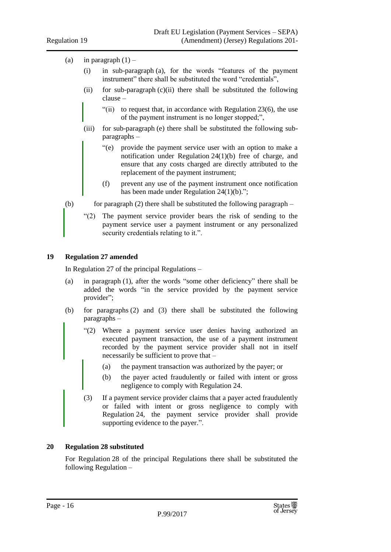#### (a) in paragraph  $(1)$  –

- (i) in sub-paragraph (a), for the words "features of the payment instrument" there shall be substituted the word "credentials",
- (ii) for sub-paragraph  $(c)(ii)$  there shall be substituted the following clause –
	- "(ii) to request that, in accordance with Regulation 23(6), the use of the payment instrument is no longer stopped;",
- (iii) for sub-paragraph (e) there shall be substituted the following subparagraphs –
	- "(e) provide the payment service user with an option to make a notification under Regulation 24(1)(b) free of charge, and ensure that any costs charged are directly attributed to the replacement of the payment instrument;
	- (f) prevent any use of the payment instrument once notification has been made under Regulation 24(1)(b).";
- (b) for paragraph (2) there shall be substituted the following paragraph
	- "(2) The payment service provider bears the risk of sending to the payment service user a payment instrument or any personalized security credentials relating to it.".

#### <span id="page-15-0"></span>**19 Regulation 27 amended**

In Regulation 27 of the principal Regulations –

- (a) in paragraph (1), after the words "some other deficiency" there shall be added the words "in the service provided by the payment service provider";
- (b) for paragraphs (2) and (3) there shall be substituted the following paragraphs –
	- "(2) Where a payment service user denies having authorized an executed payment transaction, the use of a payment instrument recorded by the payment service provider shall not in itself necessarily be sufficient to prove that –
		- (a) the payment transaction was authorized by the payer; or
		- (b) the payer acted fraudulently or failed with intent or gross negligence to comply with Regulation 24.
	- (3) If a payment service provider claims that a payer acted fraudulently or failed with intent or gross negligence to comply with Regulation 24, the payment service provider shall provide supporting evidence to the payer.".

#### <span id="page-15-1"></span>**20 Regulation 28 substituted**

For Regulation 28 of the principal Regulations there shall be substituted the following Regulation –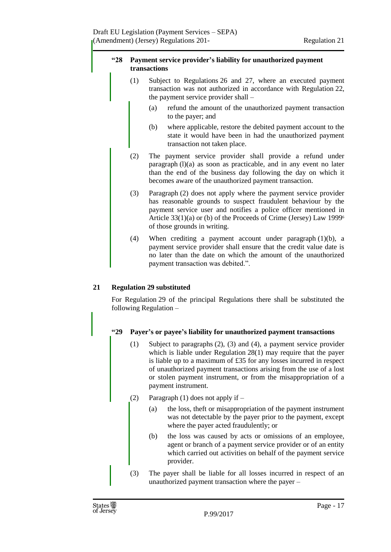#### **"28 Payment service provider's liability for unauthorized payment transactions**

- (1) Subject to Regulations 26 and 27, where an executed payment transaction was not authorized in accordance with Regulation 22, the payment service provider shall –
	- (a) refund the amount of the unauthorized payment transaction to the payer; and
	- (b) where applicable, restore the debited payment account to the state it would have been in had the unauthorized payment transaction not taken place.
- (2) The payment service provider shall provide a refund under paragraph (l)(a) as soon as practicable, and in any event no later than the end of the business day following the day on which it becomes aware of the unauthorized payment transaction.
- (3) Paragraph (2) does not apply where the payment service provider has reasonable grounds to suspect fraudulent behaviour by the payment service user and notifies a police officer mentioned in Article 33(1)(a) or (b) of the Proceeds of Crime (Jersey) Law 1999<sup>6</sup> of those grounds in writing.
- (4) When crediting a payment account under paragraph (1)(b), a payment service provider shall ensure that the credit value date is no later than the date on which the amount of the unauthorized payment transaction was debited.".

#### <span id="page-16-0"></span>**21 Regulation 29 substituted**

For Regulation 29 of the principal Regulations there shall be substituted the following Regulation –

#### **"29 Payer's or payee's liability for unauthorized payment transactions**

- (1) Subject to paragraphs (2), (3) and (4), a payment service provider which is liable under Regulation 28(1) may require that the payer is liable up to a maximum of £35 for any losses incurred in respect of unauthorized payment transactions arising from the use of a lost or stolen payment instrument, or from the misappropriation of a payment instrument.
- (2) Paragraph (1) does not apply if
	- (a) the loss, theft or misappropriation of the payment instrument was not detectable by the payer prior to the payment, except where the payer acted fraudulently; or
	- (b) the loss was caused by acts or omissions of an employee, agent or branch of a payment service provider or of an entity which carried out activities on behalf of the payment service provider.
- (3) The payer shall be liable for all losses incurred in respect of an unauthorized payment transaction where the payer –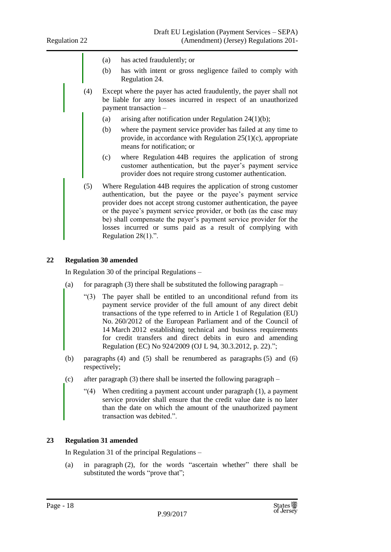- (a) has acted fraudulently; or
- (b) has with intent or gross negligence failed to comply with Regulation 24.
- (4) Except where the payer has acted fraudulently, the payer shall not be liable for any losses incurred in respect of an unauthorized payment transaction –
	- (a) arising after notification under Regulation  $24(1)(b)$ ;
	- (b) where the payment service provider has failed at any time to provide, in accordance with Regulation 25(1)(c), appropriate means for notification; or
	- (c) where Regulation 44B requires the application of strong customer authentication, but the payer's payment service provider does not require strong customer authentication.
- (5) Where Regulation 44B requires the application of strong customer authentication, but the payee or the payee's payment service provider does not accept strong customer authentication, the payee or the payee's payment service provider, or both (as the case may be) shall compensate the payer's payment service provider for the losses incurred or sums paid as a result of complying with Regulation 28(1).".

#### <span id="page-17-0"></span>**22 Regulation 30 amended**

In Regulation 30 of the principal Regulations –

- (a) for paragraph (3) there shall be substituted the following paragraph  $-$ 
	- "(3) The payer shall be entitled to an unconditional refund from its payment service provider of the full amount of any direct debit transactions of the type referred to in Article 1 of Regulation (EU) No. 260/2012 of the European Parliament and of the Council of 14 March 2012 establishing technical and business requirements for credit transfers and direct debits in euro and amending Regulation (EC) No 924/2009 (OJ L 94, 30.3.2012, p. 22).";
- (b) paragraphs (4) and (5) shall be renumbered as paragraphs (5) and (6) respectively;
- (c) after paragraph (3) there shall be inserted the following paragraph
	- "(4) When crediting a payment account under paragraph (1), a payment service provider shall ensure that the credit value date is no later than the date on which the amount of the unauthorized payment transaction was debited.".

#### <span id="page-17-1"></span>**23 Regulation 31 amended**

In Regulation 31 of the principal Regulations –

(a) in paragraph (2), for the words "ascertain whether" there shall be substituted the words "prove that";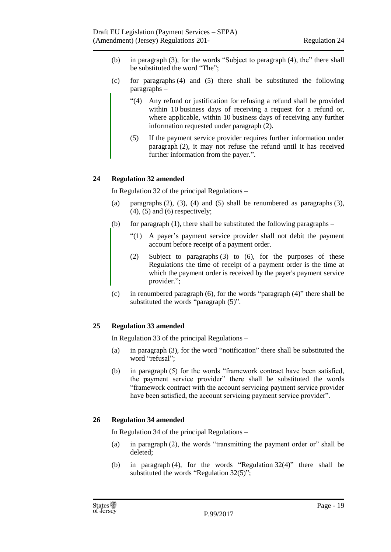- (b) in paragraph (3), for the words "Subject to paragraph (4), the" there shall be substituted the word "The";
- (c) for paragraphs (4) and (5) there shall be substituted the following paragraphs –
	- "(4) Any refund or justification for refusing a refund shall be provided within 10 business days of receiving a request for a refund or, where applicable, within 10 business days of receiving any further information requested under paragraph (2).
	- (5) If the payment service provider requires further information under paragraph (2), it may not refuse the refund until it has received further information from the payer.".

#### <span id="page-18-0"></span>**24 Regulation 32 amended**

In Regulation 32 of the principal Regulations –

- (a) paragraphs  $(2)$ ,  $(3)$ ,  $(4)$  and  $(5)$  shall be renumbered as paragraphs  $(3)$ ,  $(4)$ ,  $(5)$  and  $(6)$  respectively;
- (b) for paragraph  $(1)$ , there shall be substituted the following paragraphs
	- "(1) A payer's payment service provider shall not debit the payment account before receipt of a payment order.
	- (2) Subject to paragraphs (3) to (6), for the purposes of these Regulations the time of receipt of a payment order is the time at which the payment order is received by the payer's payment service provider.";
- (c) in renumbered paragraph (6), for the words "paragraph (4)" there shall be substituted the words "paragraph  $(5)$ ".

#### <span id="page-18-1"></span>**25 Regulation 33 amended**

In Regulation 33 of the principal Regulations –

- (a) in paragraph (3), for the word "notification" there shall be substituted the word "refusal";
- (b) in paragraph (5) for the words "framework contract have been satisfied, the payment service provider" there shall be substituted the words "framework contract with the account servicing payment service provider have been satisfied, the account servicing payment service provider".

#### <span id="page-18-2"></span>**26 Regulation 34 amended**

In Regulation 34 of the principal Regulations –

- (a) in paragraph (2), the words "transmitting the payment order or" shall be deleted;
- (b) in paragraph (4), for the words "Regulation 32(4)" there shall be substituted the words "Regulation 32(5)";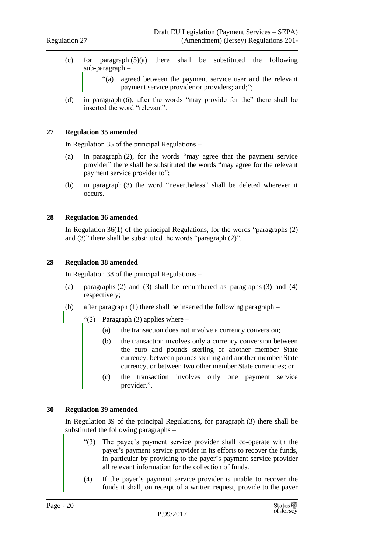- (c) for paragraph  $(5)(a)$  there shall be substituted the following sub-paragraph –
	- "(a) agreed between the payment service user and the relevant payment service provider or providers; and;";
- (d) in paragraph (6), after the words "may provide for the" there shall be inserted the word "relevant".

#### <span id="page-19-0"></span>**27 Regulation 35 amended**

In Regulation 35 of the principal Regulations –

- (a) in paragraph (2), for the words "may agree that the payment service provider" there shall be substituted the words "may agree for the relevant payment service provider to";
- (b) in paragraph (3) the word "nevertheless" shall be deleted wherever it occurs.

#### <span id="page-19-1"></span>**28 Regulation 36 amended**

In Regulation 36(1) of the principal Regulations, for the words "paragraphs (2) and (3)" there shall be substituted the words "paragraph (2)".

#### <span id="page-19-2"></span>**29 Regulation 38 amended**

In Regulation 38 of the principal Regulations –

- (a) paragraphs (2) and (3) shall be renumbered as paragraphs (3) and (4) respectively;
- (b) after paragraph (1) there shall be inserted the following paragraph
	- "(2) Paragraph (3) applies where  $-$ 
		- (a) the transaction does not involve a currency conversion;
		- (b) the transaction involves only a currency conversion between the euro and pounds sterling or another member State currency, between pounds sterling and another member State currency, or between two other member State currencies; or
		- (c) the transaction involves only one payment service provider.".

#### <span id="page-19-3"></span>**30 Regulation 39 amended**

In Regulation 39 of the principal Regulations, for paragraph (3) there shall be substituted the following paragraphs –

- "(3) The payee's payment service provider shall co-operate with the payer's payment service provider in its efforts to recover the funds, in particular by providing to the payer's payment service provider all relevant information for the collection of funds.
- (4) If the payer's payment service provider is unable to recover the funds it shall, on receipt of a written request, provide to the payer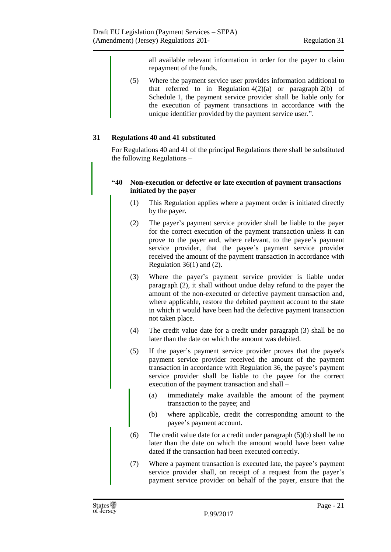all available relevant information in order for the payer to claim repayment of the funds.

(5) Where the payment service user provides information additional to that referred to in Regulation  $4(2)(a)$  or paragraph  $2(b)$  of Schedule 1, the payment service provider shall be liable only for the execution of payment transactions in accordance with the unique identifier provided by the payment service user.".

#### <span id="page-20-0"></span>**31 Regulations 40 and 41 substituted**

For Regulations 40 and 41 of the principal Regulations there shall be substituted the following Regulations –

#### **"40 Non-execution or defective or late execution of payment transactions initiated by the payer**

- (1) This Regulation applies where a payment order is initiated directly by the payer.
- (2) The payer's payment service provider shall be liable to the payer for the correct execution of the payment transaction unless it can prove to the payer and, where relevant, to the payee's payment service provider, that the payee's payment service provider received the amount of the payment transaction in accordance with Regulation 36(1) and (2).
- (3) Where the payer's payment service provider is liable under paragraph (2), it shall without undue delay refund to the payer the amount of the non-executed or defective payment transaction and, where applicable, restore the debited payment account to the state in which it would have been had the defective payment transaction not taken place.
- (4) The credit value date for a credit under paragraph (3) shall be no later than the date on which the amount was debited.
- (5) If the payer's payment service provider proves that the payee's payment service provider received the amount of the payment transaction in accordance with Regulation 36, the payee's payment service provider shall be liable to the payee for the correct execution of the payment transaction and shall –
	- (a) immediately make available the amount of the payment transaction to the payee; and
	- (b) where applicable, credit the corresponding amount to the payee's payment account.
- (6) The credit value date for a credit under paragraph (5)(b) shall be no later than the date on which the amount would have been value dated if the transaction had been executed correctly.
- (7) Where a payment transaction is executed late, the payee's payment service provider shall, on receipt of a request from the payer's payment service provider on behalf of the payer, ensure that the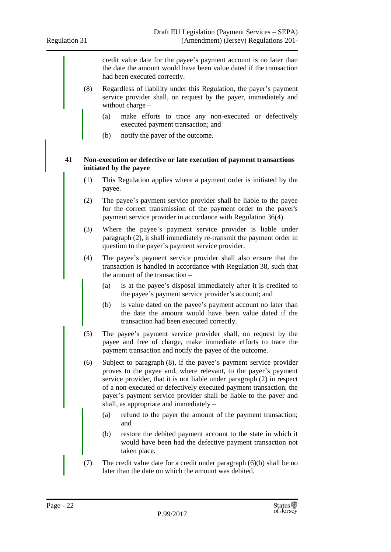credit value date for the payee's payment account is no later than the date the amount would have been value dated if the transaction had been executed correctly. (8) Regardless of liability under this Regulation, the payer's payment service provider shall, on request by the payer, immediately and without charge – (a) make efforts to trace any non-executed or defectively executed payment transaction; and (b) notify the payer of the outcome. **41 Non-execution or defective or late execution of payment transactions initiated by the payee** (1) This Regulation applies where a payment order is initiated by the payee. (2) The payee's payment service provider shall be liable to the payee for the correct transmission of the payment order to the payer's payment service provider in accordance with Regulation 36(4). (3) Where the payee's payment service provider is liable under paragraph (2), it shall immediately re-transmit the payment order in question to the payer's payment service provider. (4) The payee's payment service provider shall also ensure that the transaction is handled in accordance with Regulation 38, such that the amount of the transaction – (a) is at the payee's disposal immediately after it is credited to the payee's payment service provider's account; and (b) is value dated on the payee's payment account no later than the date the amount would have been value dated if the transaction had been executed correctly. (5) The payee's payment service provider shall, on request by the payee and free of charge, make immediate efforts to trace the payment transaction and notify the payee of the outcome. (6) Subject to paragraph (8), if the payee's payment service provider proves to the payee and, where relevant, to the payer's payment service provider, that it is not liable under paragraph (2) in respect of a non-executed or defectively executed payment transaction, the payer's payment service provider shall be liable to the payer and shall, as appropriate and immediately – (a) refund to the payer the amount of the payment transaction; and (b) restore the debited payment account to the state in which it would have been had the defective payment transaction not taken place. (7) The credit value date for a credit under paragraph (6)(b) shall be no later than the date on which the amount was debited.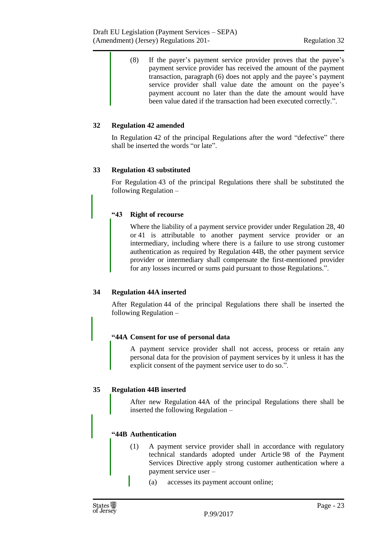(8) If the payer's payment service provider proves that the payee's payment service provider has received the amount of the payment transaction, paragraph (6) does not apply and the payee's payment service provider shall value date the amount on the payee's payment account no later than the date the amount would have been value dated if the transaction had been executed correctly.".

#### <span id="page-22-0"></span>**32 Regulation 42 amended**

In Regulation 42 of the principal Regulations after the word "defective" there shall be inserted the words "or late".

#### <span id="page-22-1"></span>**33 Regulation 43 substituted**

For Regulation 43 of the principal Regulations there shall be substituted the following Regulation –

#### **"43 Right of recourse**

Where the liability of a payment service provider under Regulation 28, 40 or 41 is attributable to another payment service provider or an intermediary, including where there is a failure to use strong customer authentication as required by Regulation 44B, the other payment service provider or intermediary shall compensate the first-mentioned provider for any losses incurred or sums paid pursuant to those Regulations.".

#### <span id="page-22-2"></span>**34 Regulation 44A inserted**

After Regulation 44 of the principal Regulations there shall be inserted the following Regulation –

#### **"44A Consent for use of personal data**

A payment service provider shall not access, process or retain any personal data for the provision of payment services by it unless it has the explicit consent of the payment service user to do so.".

#### <span id="page-22-3"></span>**35 Regulation 44B inserted**

After new Regulation 44A of the principal Regulations there shall be inserted the following Regulation –

#### **"44B Authentication**

- (1) A payment service provider shall in accordance with regulatory technical standards adopted under Article 98 of the Payment Services Directive apply strong customer authentication where a payment service user –
	- (a) accesses its payment account online;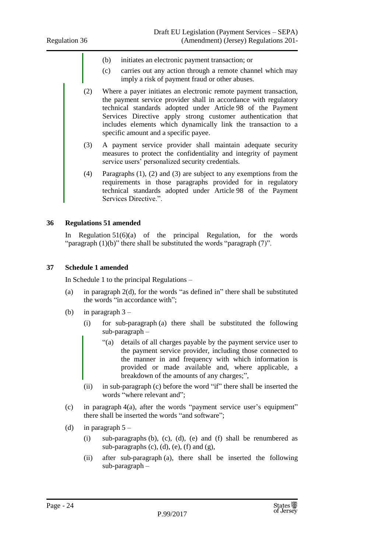- (b) initiates an electronic payment transaction; or
- (c) carries out any action through a remote channel which may imply a risk of payment fraud or other abuses.
- (2) Where a payer initiates an electronic remote payment transaction, the payment service provider shall in accordance with regulatory technical standards adopted under Article 98 of the Payment Services Directive apply strong customer authentication that includes elements which dynamically link the transaction to a specific amount and a specific payee.
- (3) A payment service provider shall maintain adequate security measures to protect the confidentiality and integrity of payment service users' personalized security credentials.
- (4) Paragraphs (1), (2) and (3) are subject to any exemptions from the requirements in those paragraphs provided for in regulatory technical standards adopted under Article 98 of the Payment Services Directive.".

#### <span id="page-23-0"></span>**36 Regulations 51 amended**

In Regulation  $51(6)(a)$  of the principal Regulation, for the words "paragraph  $(1)(b)$ " there shall be substituted the words "paragraph  $(7)$ ".

#### <span id="page-23-1"></span>**37 Schedule 1 amended**

In Schedule 1 to the principal Regulations –

- (a) in paragraph 2(d), for the words "as defined in" there shall be substituted the words "in accordance with";
- (b) in paragraph  $3 -$ 
	- (i) for sub-paragraph (a) there shall be substituted the following sub-paragraph –
		- "(a) details of all charges payable by the payment service user to the payment service provider, including those connected to the manner in and frequency with which information is provided or made available and, where applicable, a breakdown of the amounts of any charges;",
	- (ii) in sub-paragraph (c) before the word "if" there shall be inserted the words "where relevant and";
- (c) in paragraph 4(a), after the words "payment service user's equipment" there shall be inserted the words "and software";
- (d) in paragraph  $5 -$ 
	- (i) sub-paragraphs (b), (c), (d), (e) and (f) shall be renumbered as sub-paragraphs  $(c)$ ,  $(d)$ ,  $(e)$ ,  $(f)$  and  $(g)$ ,
	- (ii) after sub-paragraph (a), there shall be inserted the following sub-paragraph –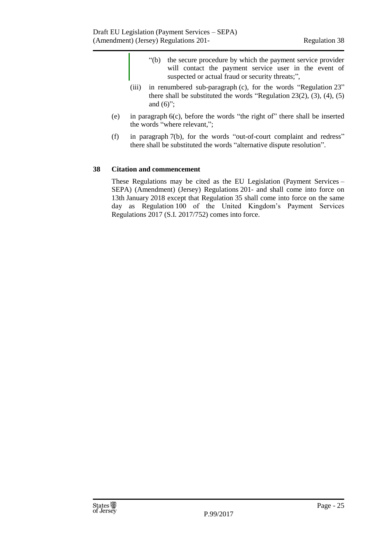- "(b) the secure procedure by which the payment service provider will contact the payment service user in the event of suspected or actual fraud or security threats;",
- (iii) in renumbered sub-paragraph (c), for the words "Regulation 23" there shall be substituted the words "Regulation 23(2), (3), (4), (5) and  $(6)$ ";
- (e) in paragraph 6(c), before the words "the right of" there shall be inserted the words "where relevant,";
- (f) in paragraph 7(b), for the words "out-of-court complaint and redress" there shall be substituted the words "alternative dispute resolution".

#### <span id="page-24-0"></span>**38 Citation and commencement**

These Regulations may be cited as the EU Legislation (Payment Services – SEPA) (Amendment) (Jersey) Regulations 201- and shall come into force on 13th January 2018 except that Regulation 35 shall come into force on the same day as Regulation 100 of the United Kingdom's Payment Services Regulations 2017 (S.I. 2017/752) comes into force.